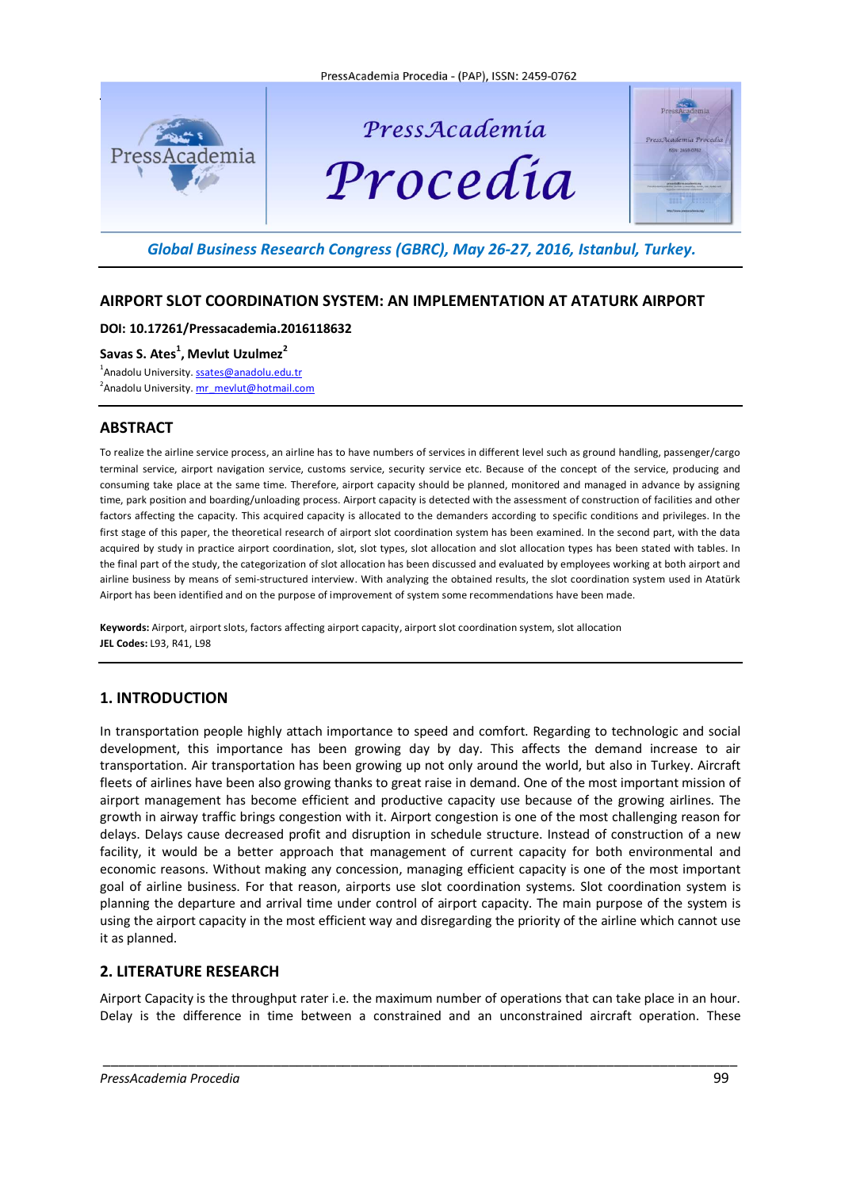

# PressAcademia Procedia



# *Global Business Research Congress (GBRC), May 26-27, 2016, Istanbul, Turkey.*

# **AIRPORT SLOT COORDINATION SYSTEM: AN IMPLEMENTATION AT ATATURK AIRPORT**

## **DOI: 10.17261/Pressacademia.2016118632**

**Savas S. Ates 1 , Mevlut Uzulmez<sup>2</sup>**

<sup>1</sup>Anadolu University. **[ssates@anadolu.edu.tr](mailto:ssates@anadolu.edu.tr)** <sup>2</sup> Anadolu University. <u>[mr\\_mevlut@hotmail.com](mailto:mr_mevlut@hotmail.com)</u>

# **ABSTRACT**

To realize the airline service process, an airline has to have numbers of services in different level such as ground handling, passenger/cargo terminal service, airport navigation service, customs service, security service etc. Because of the concept of the service, producing and consuming take place at the same time. Therefore, airport capacity should be planned, monitored and managed in advance by assigning time, park position and boarding/unloading process. Airport capacity is detected with the assessment of construction of facilities and other factors affecting the capacity. This acquired capacity is allocated to the demanders according to specific conditions and privileges. In the first stage of this paper, the theoretical research of airport slot coordination system has been examined. In the second part, with the data acquired by study in practice airport coordination, slot, slot types, slot allocation and slot allocation types has been stated with tables. In the final part of the study, the categorization of slot allocation has been discussed and evaluated by employees working at both airport and airline business by means of semi-structured interview. With analyzing the obtained results, the slot coordination system used in Atatürk Airport has been identified and on the purpose of improvement of system some recommendations have been made.

**Keywords:** Airport, airport slots, factors affecting airport capacity, airport slot coordination system, slot allocation **JEL Codes:** L93, R41, L98

# **1. INTRODUCTION**

In transportation people highly attach importance to speed and comfort. Regarding to technologic and social development, this importance has been growing day by day. This affects the demand increase to air transportation. Air transportation has been growing up not only around the world, but also in Turkey. Aircraft fleets of airlines have been also growing thanks to great raise in demand. One of the most important mission of airport management has become efficient and productive capacity use because of the growing airlines. The growth in airway traffic brings congestion with it. Airport congestion is one of the most challenging reason for delays. Delays cause decreased profit and disruption in schedule structure. Instead of construction of a new facility, it would be a better approach that management of current capacity for both environmental and economic reasons. Without making any concession, managing efficient capacity is one of the most important goal of airline business. For that reason, airports use slot coordination systems. Slot coordination system is planning the departure and arrival time under control of airport capacity. The main purpose of the system is using the airport capacity in the most efficient way and disregarding the priority of the airline which cannot use it as planned.

# **2. LITERATURE RESEARCH**

Airport Capacity is the throughput rater i.e. the maximum number of operations that can take place in an hour. Delay is the difference in time between a constrained and an unconstrained aircraft operation. These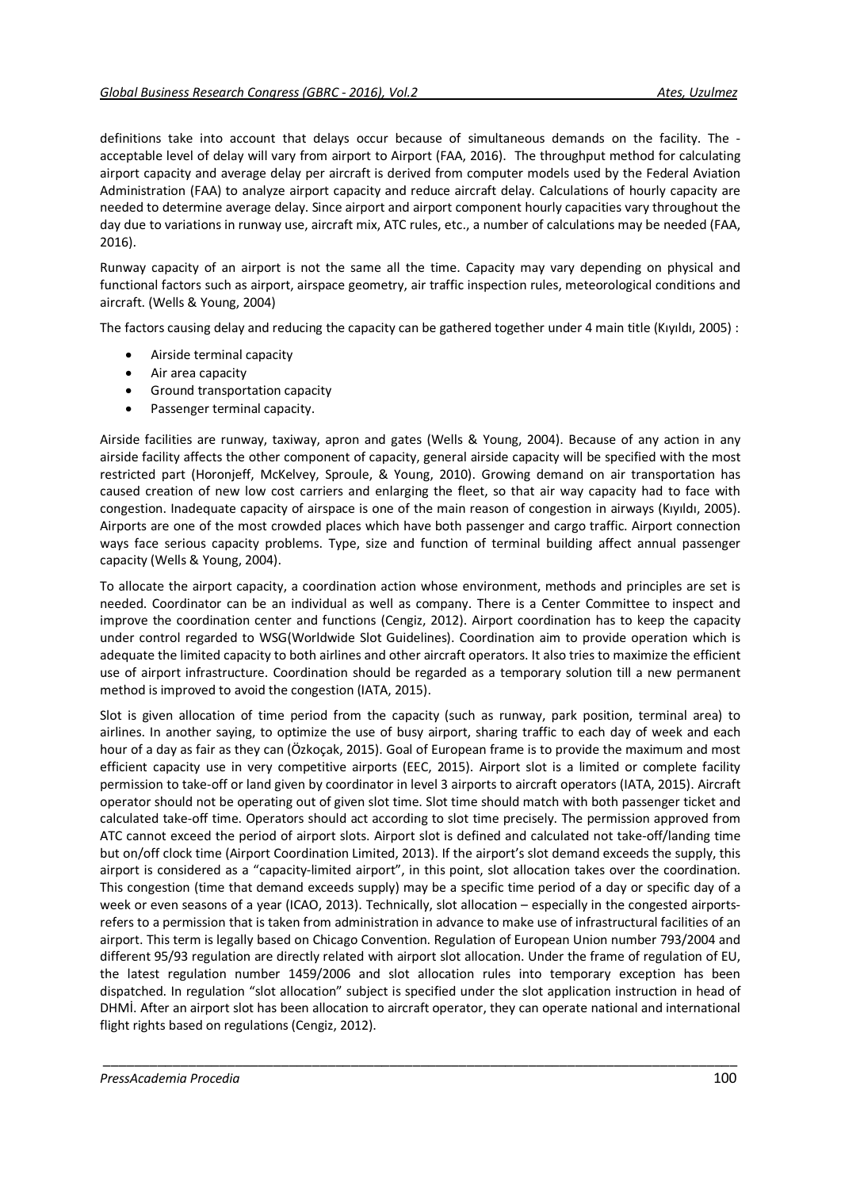definitions take into account that delays occur because of simultaneous demands on the facility. The acceptable level of delay will vary from airport to Airport (FAA, 2016). The throughput method for calculating airport capacity and average delay per aircraft is derived from computer models used by the Federal Aviation Administration (FAA) to analyze airport capacity and reduce aircraft delay. Calculations of hourly capacity are needed to determine average delay. Since airport and airport component hourly capacities vary throughout the day due to variations in runway use, aircraft mix, ATC rules, etc., a number of calculations may be needed (FAA, 2016).

Runway capacity of an airport is not the same all the time. Capacity may vary depending on physical and functional factors such as airport, airspace geometry, air traffic inspection rules, meteorological conditions and aircraft. (Wells & Young, 2004)

The factors causing delay and reducing the capacity can be gathered together under 4 main title (Kıyıldı, 2005) :

- Airside terminal capacity
- Air area capacity
- Ground transportation capacity
- Passenger terminal capacity.

Airside facilities are runway, taxiway, apron and gates (Wells & Young, 2004). Because of any action in any airside facility affects the other component of capacity, general airside capacity will be specified with the most restricted part (Horonjeff, McKelvey, Sproule, & Young, 2010). Growing demand on air transportation has caused creation of new low cost carriers and enlarging the fleet, so that air way capacity had to face with congestion. Inadequate capacity of airspace is one of the main reason of congestion in airways (Kıyıldı, 2005). Airports are one of the most crowded places which have both passenger and cargo traffic. Airport connection ways face serious capacity problems. Type, size and function of terminal building affect annual passenger capacity (Wells & Young, 2004).

To allocate the airport capacity, a coordination action whose environment, methods and principles are set is needed. Coordinator can be an individual as well as company. There is a Center Committee to inspect and improve the coordination center and functions (Cengiz, 2012). Airport coordination has to keep the capacity under control regarded to WSG(Worldwide Slot Guidelines). Coordination aim to provide operation which is adequate the limited capacity to both airlines and other aircraft operators. It also tries to maximize the efficient use of airport infrastructure. Coordination should be regarded as a temporary solution till a new permanent method is improved to avoid the congestion (IATA, 2015).

Slot is given allocation of time period from the capacity (such as runway, park position, terminal area) to airlines. In another saying, to optimize the use of busy airport, sharing traffic to each day of week and each hour of a day as fair as they can (Özkoçak, 2015). Goal of European frame is to provide the maximum and most efficient capacity use in very competitive airports (EEC, 2015). Airport slot is a limited or complete facility permission to take-off or land given by coordinator in level 3 airports to aircraft operators (IATA, 2015). Aircraft operator should not be operating out of given slot time. Slot time should match with both passenger ticket and calculated take-off time. Operators should act according to slot time precisely. The permission approved from ATC cannot exceed the period of airport slots. Airport slot is defined and calculated not take-off/landing time but on/off clock time (Airport Coordination Limited, 2013). If the airport's slot demand exceeds the supply, this airport is considered as a "capacity-limited airport", in this point, slot allocation takes over the coordination. This congestion (time that demand exceeds supply) may be a specific time period of a day or specific day of a week or even seasons of a year (ICAO, 2013). Technically, slot allocation – especially in the congested airportsrefers to a permission that is taken from administration in advance to make use of infrastructural facilities of an airport. This term is legally based on Chicago Convention. Regulation of European Union number 793/2004 and different 95/93 regulation are directly related with airport slot allocation. Under the frame of regulation of EU, the latest regulation number 1459/2006 and slot allocation rules into temporary exception has been dispatched. In regulation "slot allocation" subject is specified under the slot application instruction in head of DHMİ. After an airport slot has been allocation to aircraft operator, they can operate national and international flight rights based on regulations (Cengiz, 2012).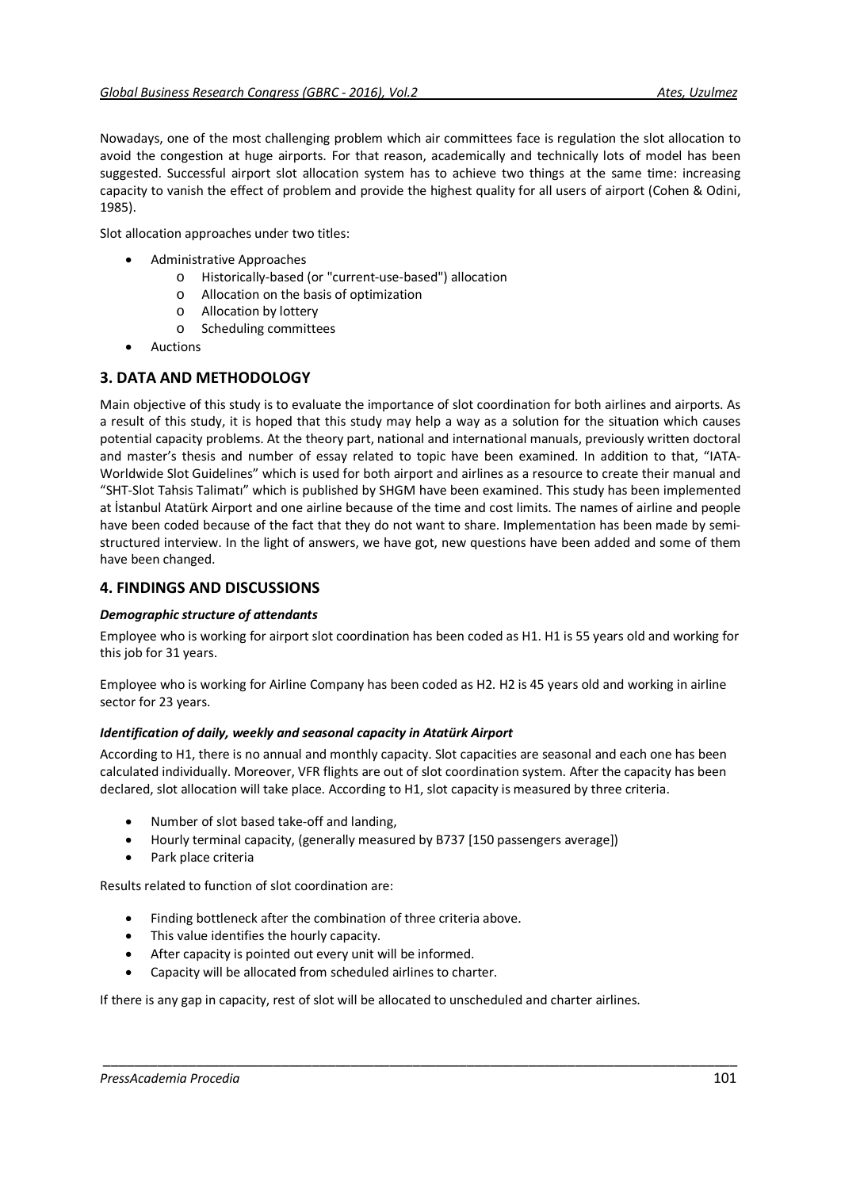Nowadays, one of the most challenging problem which air committees face is regulation the slot allocation to avoid the congestion at huge airports. For that reason, academically and technically lots of model has been suggested. Successful airport slot allocation system has to achieve two things at the same time: increasing capacity to vanish the effect of problem and provide the highest quality for all users of airport (Cohen & Odini, 1985).

Slot allocation approaches under two titles:

- Administrative Approaches
	- o Historically-based (or "current-use-based") allocation
	- o Allocation on the basis of optimization
	- o Allocation by lottery
	- o Scheduling committees
- **Auctions**

# **3. DATA AND METHODOLOGY**

Main objective of this study is to evaluate the importance of slot coordination for both airlines and airports. As a result of this study, it is hoped that this study may help a way as a solution for the situation which causes potential capacity problems. At the theory part, national and international manuals, previously written doctoral and master's thesis and number of essay related to topic have been examined. In addition to that, "IATA-Worldwide Slot Guidelines" which is used for both airport and airlines as a resource to create their manual and "SHT-Slot Tahsis Talimatı" which is published by SHGM have been examined. This study has been implemented at İstanbul Atatürk Airport and one airline because of the time and cost limits. The names of airline and people have been coded because of the fact that they do not want to share. Implementation has been made by semistructured interview. In the light of answers, we have got, new questions have been added and some of them have been changed.

## **4. FINDINGS AND DISCUSSIONS**

## *Demographic structure of attendants*

Employee who is working for airport slot coordination has been coded as H1. H1 is 55 years old and working for this job for 31 years.

Employee who is working for Airline Company has been coded as H2. H2 is 45 years old and working in airline sector for 23 years.

## *Identification of daily, weekly and seasonal capacity in Atatürk Airport*

According to H1, there is no annual and monthly capacity. Slot capacities are seasonal and each one has been calculated individually. Moreover, VFR flights are out of slot coordination system. After the capacity has been declared, slot allocation will take place. According to H1, slot capacity is measured by three criteria.

- Number of slot based take-off and landing,
- Hourly terminal capacity, (generally measured by B737 [150 passengers average])
- Park place criteria

Results related to function of slot coordination are:

- Finding bottleneck after the combination of three criteria above.
- This value identifies the hourly capacity.
- After capacity is pointed out every unit will be informed.
- Capacity will be allocated from scheduled airlines to charter.

If there is any gap in capacity, rest of slot will be allocated to unscheduled and charter airlines.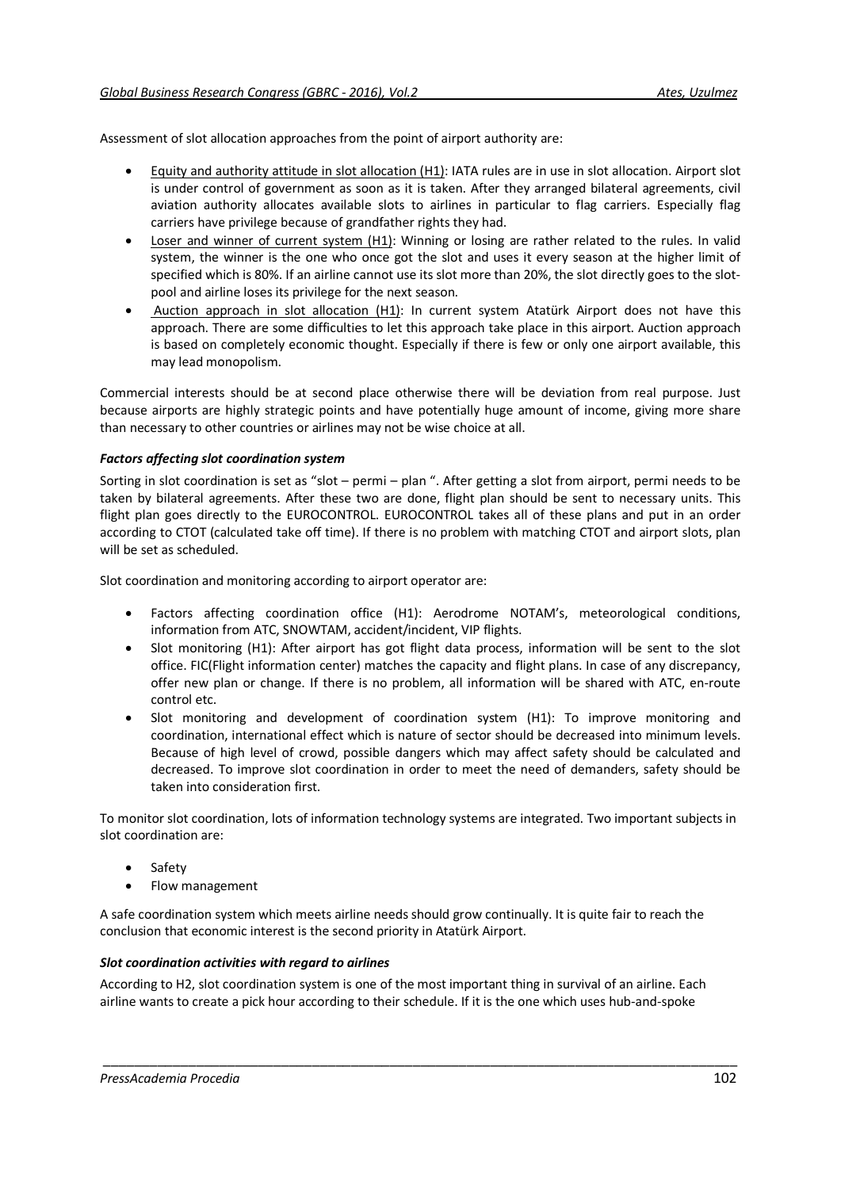Assessment of slot allocation approaches from the point of airport authority are:

- Equity and authority attitude in slot allocation (H1): IATA rules are in use in slot allocation. Airport slot is under control of government as soon as it is taken. After they arranged bilateral agreements, civil aviation authority allocates available slots to airlines in particular to flag carriers. Especially flag carriers have privilege because of grandfather rights they had.
- Loser and winner of current system (H1): Winning or losing are rather related to the rules. In valid system, the winner is the one who once got the slot and uses it every season at the higher limit of specified which is 80%. If an airline cannot use its slot more than 20%, the slot directly goes to the slotpool and airline loses its privilege for the next season.
- Auction approach in slot allocation (H1): In current system Atatürk Airport does not have this approach. There are some difficulties to let this approach take place in this airport. Auction approach is based on completely economic thought. Especially if there is few or only one airport available, this may lead monopolism.

Commercial interests should be at second place otherwise there will be deviation from real purpose. Just because airports are highly strategic points and have potentially huge amount of income, giving more share than necessary to other countries or airlines may not be wise choice at all.

## *Factors affecting slot coordination system*

Sorting in slot coordination is set as "slot – permi – plan ". After getting a slot from airport, permi needs to be taken by bilateral agreements. After these two are done, flight plan should be sent to necessary units. This flight plan goes directly to the EUROCONTROL. EUROCONTROL takes all of these plans and put in an order according to CTOT (calculated take off time). If there is no problem with matching CTOT and airport slots, plan will be set as scheduled.

Slot coordination and monitoring according to airport operator are:

- Factors affecting coordination office (H1): Aerodrome NOTAM's, meteorological conditions, information from ATC, SNOWTAM, accident/incident, VIP flights.
- Slot monitoring (H1): After airport has got flight data process, information will be sent to the slot office. FIC(Flight information center) matches the capacity and flight plans. In case of any discrepancy, offer new plan or change. If there is no problem, all information will be shared with ATC, en-route control etc.
- Slot monitoring and development of coordination system (H1): To improve monitoring and coordination, international effect which is nature of sector should be decreased into minimum levels. Because of high level of crowd, possible dangers which may affect safety should be calculated and decreased. To improve slot coordination in order to meet the need of demanders, safety should be taken into consideration first.

To monitor slot coordination, lots of information technology systems are integrated. Two important subjects in slot coordination are:

- **Safety**
- Flow management

A safe coordination system which meets airline needs should grow continually. It is quite fair to reach the conclusion that economic interest is the second priority in Atatürk Airport.

## *Slot coordination activities with regard to airlines*

According to H2, slot coordination system is one of the most important thing in survival of an airline. Each airline wants to create a pick hour according to their schedule. If it is the one which uses hub-and-spoke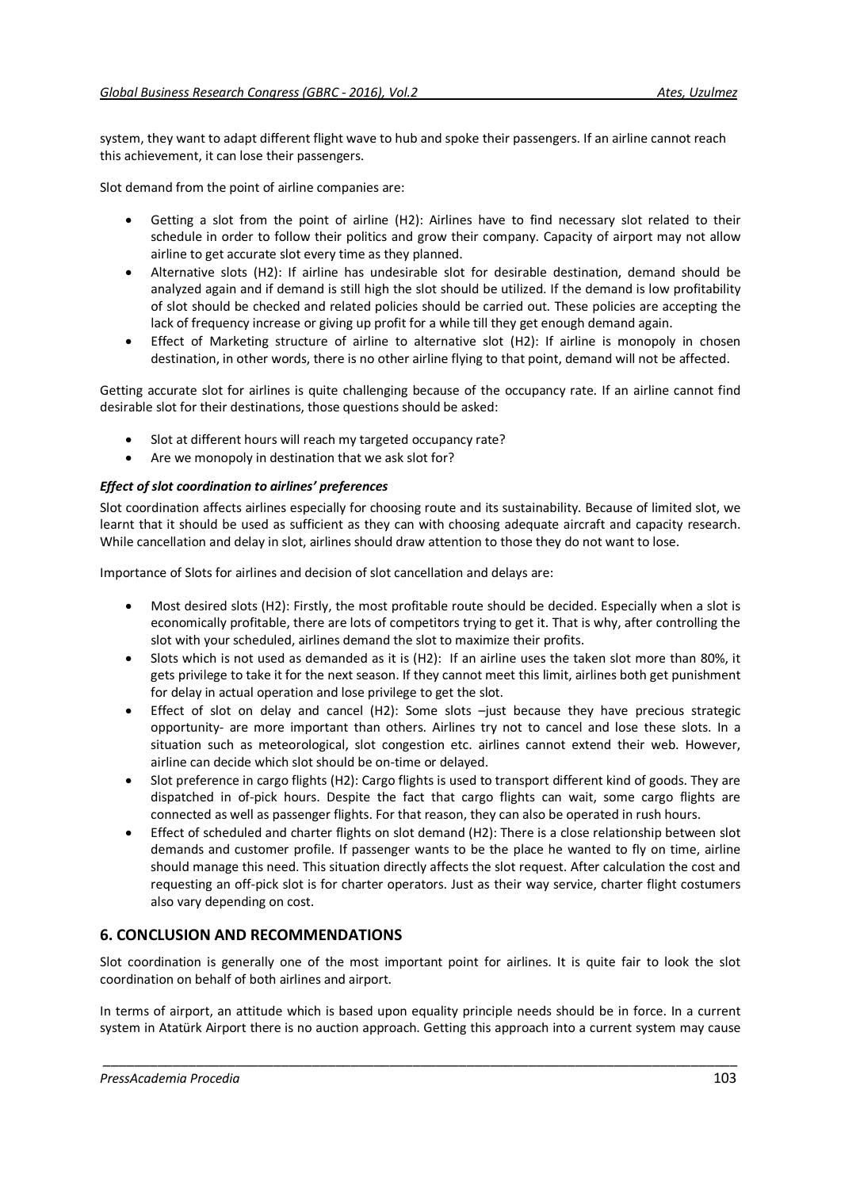system, they want to adapt different flight wave to hub and spoke their passengers. If an airline cannot reach this achievement, it can lose their passengers.

Slot demand from the point of airline companies are:

- Getting a slot from the point of airline (H2): Airlines have to find necessary slot related to their schedule in order to follow their politics and grow their company. Capacity of airport may not allow airline to get accurate slot every time as they planned.
- Alternative slots (H2): If airline has undesirable slot for desirable destination, demand should be analyzed again and if demand is still high the slot should be utilized. If the demand is low profitability of slot should be checked and related policies should be carried out. These policies are accepting the lack of frequency increase or giving up profit for a while till they get enough demand again.
- Effect of Marketing structure of airline to alternative slot (H2): If airline is monopoly in chosen destination, in other words, there is no other airline flying to that point, demand will not be affected.

Getting accurate slot for airlines is quite challenging because of the occupancy rate. If an airline cannot find desirable slot for their destinations, those questions should be asked:

- Slot at different hours will reach my targeted occupancy rate?
- Are we monopoly in destination that we ask slot for?

## *Effect of slot coordination to airlines' preferences*

Slot coordination affects airlines especially for choosing route and its sustainability. Because of limited slot, we learnt that it should be used as sufficient as they can with choosing adequate aircraft and capacity research. While cancellation and delay in slot, airlines should draw attention to those they do not want to lose.

Importance of Slots for airlines and decision of slot cancellation and delays are:

- Most desired slots (H2): Firstly, the most profitable route should be decided. Especially when a slot is economically profitable, there are lots of competitors trying to get it. That is why, after controlling the slot with your scheduled, airlines demand the slot to maximize their profits.
- Slots which is not used as demanded as it is (H2): If an airline uses the taken slot more than 80%, it gets privilege to take it for the next season. If they cannot meet this limit, airlines both get punishment for delay in actual operation and lose privilege to get the slot.
- Effect of slot on delay and cancel (H2): Some slots –just because they have precious strategic opportunity- are more important than others. Airlines try not to cancel and lose these slots. In a situation such as meteorological, slot congestion etc. airlines cannot extend their web. However, airline can decide which slot should be on-time or delayed.
- Slot preference in cargo flights (H2): Cargo flights is used to transport different kind of goods. They are dispatched in of-pick hours. Despite the fact that cargo flights can wait, some cargo flights are connected as well as passenger flights. For that reason, they can also be operated in rush hours.
- Effect of scheduled and charter flights on slot demand (H2): There is a close relationship between slot demands and customer profile. If passenger wants to be the place he wanted to fly on time, airline should manage this need. This situation directly affects the slot request. After calculation the cost and requesting an off-pick slot is for charter operators. Just as their way service, charter flight costumers also vary depending on cost.

# **6. CONCLUSION AND RECOMMENDATIONS**

Slot coordination is generally one of the most important point for airlines. It is quite fair to look the slot coordination on behalf of both airlines and airport.

In terms of airport, an attitude which is based upon equality principle needs should be in force. In a current system in Atatürk Airport there is no auction approach. Getting this approach into a current system may cause